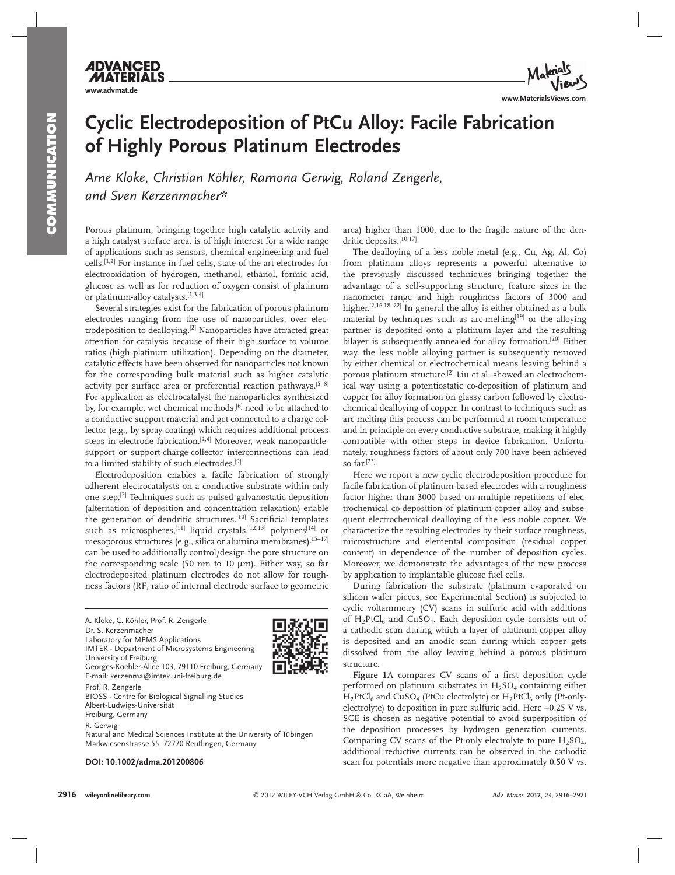## **Cyclic Electrodeposition of PtCu Alloy: Facile Fabrication of Highly Porous Platinum Electrodes**

Arne Kloke, Christian Köhler, Ramona Gerwig, Roland Zengerle,  *and Sven Kerzenmacher \** 

 Porous platinum, bringing together high catalytic activity and a high catalyst surface area, is of high interest for a wide range of applications such as sensors, chemical engineering and fuel cells. [1,2] For instance in fuel cells, state of the art electrodes for electrooxidation of hydrogen, methanol, ethanol, formic acid, glucose as well as for reduction of oxygen consist of platinum or platinum-alloy catalysts. [1,3,4]

 Several strategies exist for the fabrication of porous platinum electrodes ranging from the use of nanoparticles, over electrodeposition to dealloying.<sup>[2]</sup> Nanoparticles have attracted great attention for catalysis because of their high surface to volume ratios (high platinum utilization). Depending on the diameter, catalytic effects have been observed for nanoparticles not known for the corresponding bulk material such as higher catalytic activity per surface area or preferential reaction pathways. [5–8] For application as electrocatalyst the nanoparticles synthesized by, for example, wet chemical methods, [6] need to be attached to a conductive support material and get connected to a charge collector (e.g., by spray coating) which requires additional process steps in electrode fabrication.<sup>[2,4]</sup> Moreover, weak nanoparticlesupport or support-charge-collector interconnections can lead to a limited stability of such electrodes. [9]

 Electrodeposition enables a facile fabrication of strongly adherent electrocatalysts on a conductive substrate within only one step.<sup>[2]</sup> Techniques such as pulsed galvanostatic deposition (alternation of deposition and concentration relaxation) enable the generation of dendritic structures.<sup>[10]</sup> Sacrificial templates such as microspheres,<sup>[11]</sup> liquid crystals,<sup>[12,13]</sup> polymers<sup>[14]</sup> or mesoporous structures (e.g., silica or alumina membranes) [15–17] can be used to additionally control/design the pore structure on the corresponding scale (50 nm to 10  $\mu$ m). Either way, so far electrodeposited platinum electrodes do not allow for roughness factors (RF, ratio of internal electrode surface to geometric

A. Kloke, C. Köhler, Prof. R. Zengerle Dr. S. Kerzenmacher Laboratory for MEMS Applications IMTEK - Department of Microsystems Engineering University of Freiburg Georges-Koehler-Allee 103, 79110 Freiburg, Germany E-mail: kerzenma@imtek.uni-freiburg.de Prof. R. Zengerle BIOSS - Centre for Biological Signalling Studies Albert-Ludwigs-Universität Freiburg, Germany R. Gerwig

Natural and Medical Sciences Institute at the University of Tübingen Markwiesenstrasse 55, 72770 Reutlingen, Germany

 **DOI: 10.1002/adma.201200806** 



 The dealloying of a less noble metal (e.g., Cu, Ag, Al, Co) from platinum alloys represents a powerful alternative to the previously discussed techniques bringing together the advantage of a self-supporting structure, feature sizes in the nanometer range and high roughness factors of 3000 and higher.<sup>[2,16,18–22]</sup> In general the alloy is either obtained as a bulk material by techniques such as arc-melting<sup>[19]</sup> or the alloying partner is deposited onto a platinum layer and the resulting bilayer is subsequently annealed for alloy formation.<sup>[20]</sup> Either way, the less noble alloying partner is subsequently removed by either chemical or electrochemical means leaving behind a porous platinum structure.<sup>[2]</sup> Liu et al. showed an electrochemical way using a potentiostatic co-deposition of platinum and copper for alloy formation on glassy carbon followed by electrochemical dealloying of copper. In contrast to techniques such as arc melting this process can be performed at room temperature and in principle on every conductive substrate, making it highly compatible with other steps in device fabrication. Unfortunately, roughness factors of about only 700 have been achieved so far.[23]

 Here we report a new cyclic electrodeposition procedure for facile fabrication of platinum-based electrodes with a roughness factor higher than 3000 based on multiple repetitions of electrochemical co-deposition of platinum-copper alloy and subsequent electrochemical dealloying of the less noble copper. We characterize the resulting electrodes by their surface roughness, microstructure and elemental composition (residual copper content) in dependence of the number of deposition cycles. Moreover, we demonstrate the advantages of the new process by application to implantable glucose fuel cells.

 During fabrication the substrate (platinum evaporated on silicon wafer pieces, see Experimental Section) is subjected to cyclic voltammetry (CV) scans in sulfuric acid with additions of  $H_2$ PtCl<sub>6</sub> and CuSO<sub>4</sub>. Each deposition cycle consists out of a cathodic scan during which a layer of platinum-copper alloy is deposited and an anodic scan during which copper gets dissolved from the alloy leaving behind a porous platinum structure.

Figure 1A compares CV scans of a first deposition cycle performed on platinum substrates in  $H_2SO_4$  containing either  $H_2$ PtCl<sub>6</sub> and CuSO<sub>4</sub> (PtCu electrolyte) or  $H_2$ PtCl<sub>6</sub> only (Pt-onlyelectrolyte) to deposition in pure sulfuric acid. Here −0.25 V vs. SCE is chosen as negative potential to avoid superposition of the deposition processes by hydrogen generation currents. Comparing CV scans of the Pt-only electrolyte to pure  $H_2SO_4$ , additional reductive currents can be observed in the cathodic scan for potentials more negative than approximately 0.50 V vs.



**www.advmat.de**

**ADVANCED**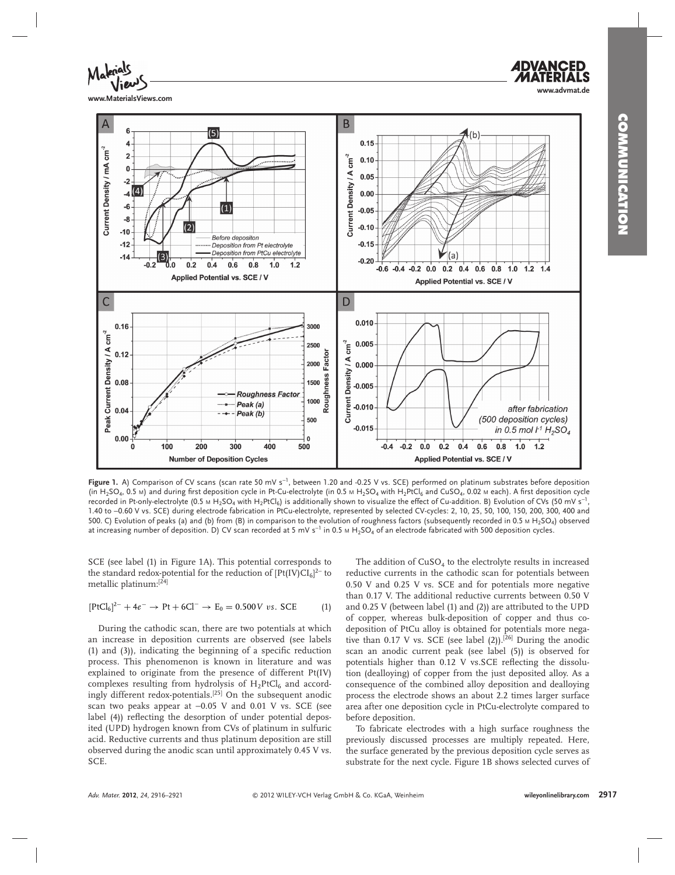

**www.MaterialsViews.com**



Figure 1. A) Comparison of CV scans (scan rate 50 mV s<sup>-1</sup>, between 1.20 and -0.25 V vs. SCE) performed on platinum substrates before deposition (in H<sub>2</sub>SO<sub>4</sub>, 0.5 M) and during first deposition cycle in Pt-Cu-electrolyte (in 0.5 M H<sub>2</sub>SO<sub>4</sub> with H<sub>2</sub>PtCl<sub>6</sub> and CuSO<sub>4</sub>, 0.02 M each). A first deposition cycle recorded in Pt-only-electrolyte (0.5 м H<sub>2</sub>SO<sub>4</sub> with H<sub>2</sub>PtCl<sub>6</sub>) is additionally shown to visualize the effect of Cu-addition. B) Evolution of CVs (50 mV s<sup>−1</sup>, 1.40 to −0.60 V vs. SCE) during electrode fabrication in PtCu-electrolyte, represented by selected CV-cycles: 2, 10, 25, 50, 100, 150, 200, 300, 400 and 500. C) Evolution of peaks (a) and (b) from (B) in comparison to the evolution of roughness factors (subsequently recorded in 0.5 M H<sub>2</sub>SO<sub>4</sub>) observed at increasing number of deposition. D) CV scan recorded at 5 mV s<sup>−1</sup> in 0.5 m H<sub>2</sub>SO<sub>4</sub> of an electrode fabricated with 500 deposition cycles.

SCE (see label (1) in Figure 1A). This potential corresponds to the standard redox-potential for the reduction of  $[Pt/IV)CI<sub>6</sub>$ <sup>2−</sup> to metallic platinum:[24]

$$
[PtCl_6]^{2-} + 4e^- \rightarrow Pt + 6Cl^- \rightarrow E_0 = 0.500 \, V \, \, vs. \, \, SCE \qquad \qquad (1)
$$

 During the cathodic scan, there are two potentials at which an increase in deposition currents are observed (see labels  $(1)$  and  $(3)$ ), indicating the beginning of a specific reduction process. This phenomenon is known in literature and was explained to originate from the presence of different Pt(IV) complexes resulting from hydrolysis of  $H_2PtCl_6$  and accordingly different redox-potentials.<sup>[25]</sup> On the subsequent anodic scan two peaks appear at −0.05 V and 0.01 V vs. SCE (see label (4)) reflecting the desorption of under potential deposited (UPD) hydrogen known from CVs of platinum in sulfuric acid. Reductive currents and thus platinum deposition are still observed during the anodic scan until approximately 0.45 V vs. SCE.

The addition of  $CuSO<sub>4</sub>$  to the electrolyte results in increased reductive currents in the cathodic scan for potentials between 0.50 V and 0.25 V vs. SCE and for potentials more negative than 0.17 V. The additional reductive currents between 0.50 V and 0.25 V (between label (1) and (2)) are attributed to the UPD of copper, whereas bulk-deposition of copper and thus codeposition of PtCu alloy is obtained for potentials more negative than 0.17 V vs. SCE (see label  $(2)$ ).<sup>[26]</sup> During the anodic scan an anodic current peak (see label (5)) is observed for potentials higher than 0.12 V vs. SCE reflecting the dissolution (dealloying) of copper from the just deposited alloy. As a consequence of the combined alloy deposition and dealloying process the electrode shows an about 2.2 times larger surface area after one deposition cycle in PtCu-electrolyte compared to before deposition.

 To fabricate electrodes with a high surface roughness the previously discussed processes are multiply repeated. Here, the surface generated by the previous deposition cycle serves as substrate for the next cycle. Figure 1B shows selected curves of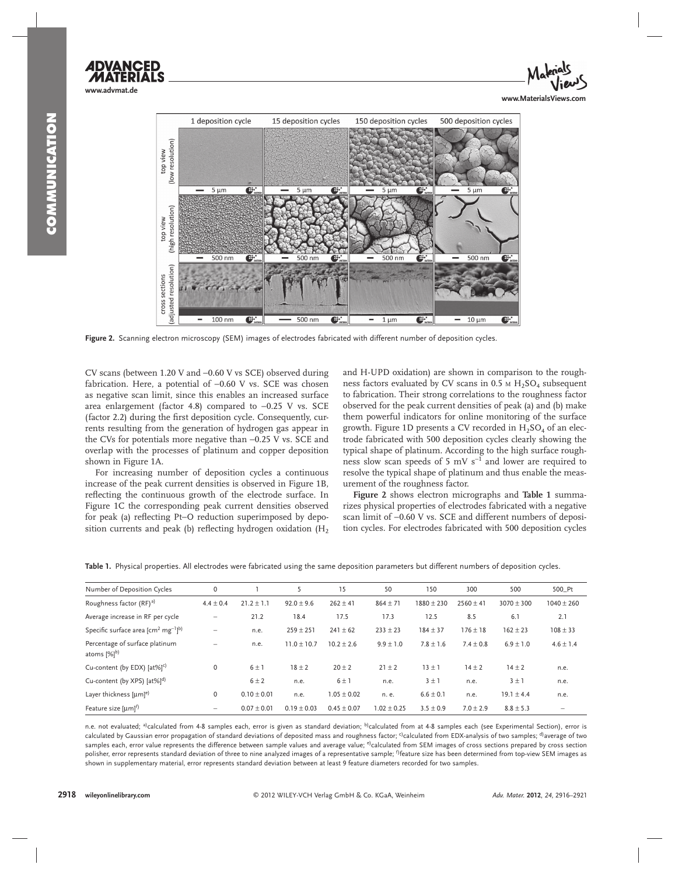



Figure 2. Scanning electron microscopy (SEM) images of electrodes fabricated with different number of deposition cycles.

CV scans (between 1.20 V and −0.60 V vs SCE) observed during fabrication. Here, a potential of −0.60 V vs. SCE was chosen as negative scan limit, since this enables an increased surface area enlargement (factor 4.8) compared to −0.25 V vs. SCE (factor 2.2) during the first deposition cycle. Consequently, currents resulting from the generation of hydrogen gas appear in the CVs for potentials more negative than −0.25 V vs. SCE and overlap with the processes of platinum and copper deposition shown in Figure 1A.

 For increasing number of deposition cycles a continuous increase of the peak current densities is observed in Figure 1B, reflecting the continuous growth of the electrode surface. In Figure 1C the corresponding peak current densities observed for peak (a) reflecting Pt–O reduction superimposed by deposition currents and peak (b) reflecting hydrogen oxidation  $(H_2)$ 

and H-UPD oxidation) are shown in comparison to the roughness factors evaluated by CV scans in  $0.5 \text{ M H}_2$  SO<sub>4</sub> subsequent to fabrication. Their strong correlations to the roughness factor observed for the peak current densities of peak (a) and (b) make them powerful indicators for online monitoring of the surface growth. Figure 1D presents a CV recorded in  $H<sub>2</sub>SO<sub>4</sub>$  of an electrode fabricated with 500 deposition cycles clearly showing the typical shape of platinum. According to the high surface roughness slow scan speeds of 5 mV  $s^{-1}$  and lower are required to resolve the typical shape of platinum and thus enable the measurement of the roughness factor.

**Figure 2** shows electron micrographs and **Table 1** summarizes physical properties of electrodes fabricated with a negative scan limit of −0.60 V vs. SCE and different numbers of deposition cycles. For electrodes fabricated with 500 deposition cycles

| Number of Deposition Cycles                                 | 0                        |                 |                 | 15              | 50             | 150            | 300           | 500            | 500_Pt         |
|-------------------------------------------------------------|--------------------------|-----------------|-----------------|-----------------|----------------|----------------|---------------|----------------|----------------|
| Roughness factor (RF) <sup>a)</sup>                         | $4.4 \pm 0.4$            | $21.2 \pm 1.1$  | $92.0 \pm 9.6$  | $262 \pm 41$    | $864 \pm 71$   | $1880 \pm 230$ | $2560 \pm 41$ | $3070 \pm 300$ | $1040 \pm 260$ |
| Average increase in RF per cycle                            | $\overline{\phantom{0}}$ | 21.2            | 18.4            | 17.5            | 17.3           | 12.5           | 8.5           | 6.1            | 2.1            |
| Specific surface area [cm <sup>2</sup> mg <sup>-1</sup> ]b) | $\overline{\phantom{0}}$ | n.e.            | $259 \pm 251$   | $241 \pm 62$    | $233 \pm 23$   | $184 \pm 37$   | $176 \pm 18$  | $162 \pm 23$   | $108 \pm 33$   |
| Percentage of surface platinum<br>atoms [%] <sup>b)</sup>   | $\overline{\phantom{0}}$ | n.e.            | $11.0 \pm 10.7$ | $10.2 + 2.6$    | $9.9 \pm 1.0$  | $7.8 \pm 1.6$  | $7.4 \pm 0.8$ | $6.9 \pm 1.0$  | $4.6 \pm 1.4$  |
| Cu-content (by EDX) [at%] <sup>c)</sup>                     | 0                        | 6±1             | $18 \pm 2$      | $20 \pm 2$      | $21 \pm 2$     | $13 \pm 1$     | $14 \pm 2$    | $14 \pm 2$     | n.e.           |
| Cu-content (by XPS) [at%] <sup>d)</sup>                     |                          | $6 \pm 2$       | n.e.            | $6 \pm 1$       | n.e.           | $3 \pm 1$      | n.e.          | $3 \pm 1$      | n.e.           |
| Layer thickness $[{\mu}m]^{e}$                              | $\mathbf 0$              | $0.10 \pm 0.01$ | n.e.            | $1.05 \pm 0.02$ | n. e.          | $6.6 \pm 0.1$  | n.e.          | $19.1 \pm 4.4$ | n.e.           |
| Feature size [um] <sup>f)</sup>                             | -                        | $0.07 \pm 0.01$ | $0.19 \pm 0.03$ | $0.45 \pm 0.07$ | $.02 \pm 0.25$ | $3.5 \pm 0.9$  | $7.0 \pm 2.9$ | $8.8 \pm 5.3$  |                |

 **Table 1.** Physical properties. All electrodes were fabricated using the same deposition parameters but different numbers of deposition cycles.

n.e. not evaluated; <sup>a)</sup>calculated from 4-8 samples each, error is given as standard deviation; <sup>b)</sup>calculated from at 4-8 samples each (see Experimental Section), error is calculated by Gaussian error propagation of standard deviations of deposited mass and roughness factor; <sup>c)</sup>calculated from EDX-analysis of two samples; <sup>d)</sup>average of two samples each, error value represents the difference between sample values and average value; <sup>e</sup>)calculated from SEM images of cross sections prepared by cross section polisher, error represents standard deviation of three to nine analyzed images of a representative sample; <sup>f)</sup>feature size has been determined from top-view SEM images as shown in supplementary material, error represents standard deviation between at least 9 feature diameters recorded for two samples.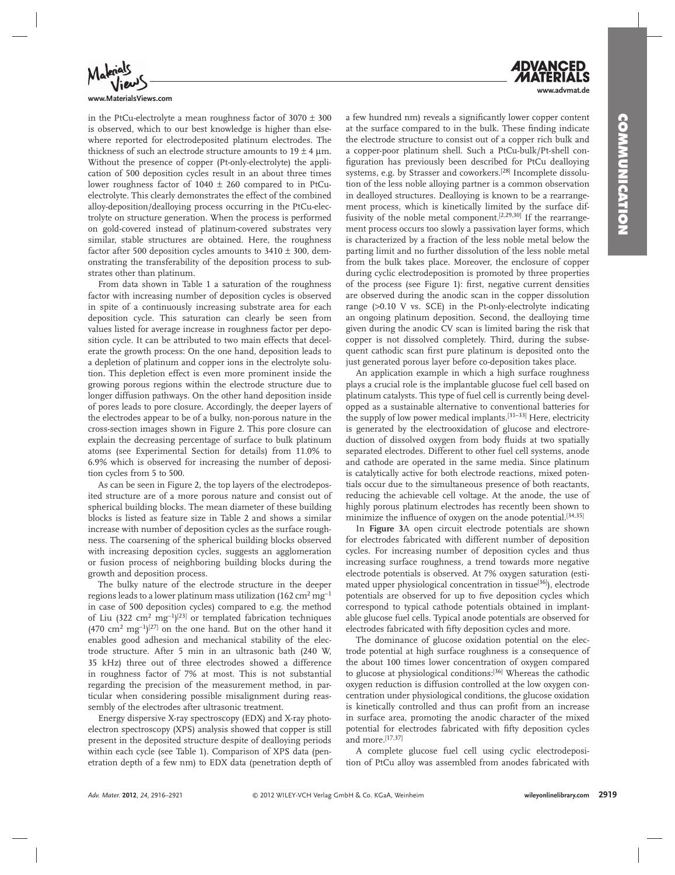

**www.MaterialsViews.com**

in the PtCu-electrolyte a mean roughness factor of  $3070 \pm 300$ is observed, which to our best knowledge is higher than elsewhere reported for electrodeposited platinum electrodes. The thickness of such an electrode structure amounts to  $19 \pm 4$  µm. Without the presence of copper (Pt-only-electrolyte) the application of 500 deposition cycles result in an about three times lower roughness factor of 1040 ± 260 compared to in PtCuelectrolyte. This clearly demonstrates the effect of the combined alloy-deposition/dealloying process occurring in the PtCu-electrolyte on structure generation. When the process is performed on gold-covered instead of platinum-covered substrates very similar, stable structures are obtained. Here, the roughness factor after 500 deposition cycles amounts to  $3410 \pm 300$ , demonstrating the transferability of the deposition process to substrates other than platinum.

 From data shown in Table 1 a saturation of the roughness factor with increasing number of deposition cycles is observed in spite of a continuously increasing substrate area for each deposition cycle. This saturation can clearly be seen from values listed for average increase in roughness factor per deposition cycle. It can be attributed to two main effects that decelerate the growth process: On the one hand, deposition leads to a depletion of platinum and copper ions in the electrolyte solution. This depletion effect is even more prominent inside the growing porous regions within the electrode structure due to longer diffusion pathways. On the other hand deposition inside of pores leads to pore closure. Accordingly, the deeper layers of the electrodes appear to be of a bulky, non-porous nature in the cross-section images shown in Figure 2. This pore closure can explain the decreasing percentage of surface to bulk platinum atoms (see Experimental Section for details) from 11.0% to 6.9% which is observed for increasing the number of deposition cycles from 5 to 500.

As can be seen in Figure 2, the top layers of the electrodeposited structure are of a more porous nature and consist out of spherical building blocks. The mean diameter of these building blocks is listed as feature size in Table 2 and shows a similar increase with number of deposition cycles as the surface roughness. The coarsening of the spherical building blocks observed with increasing deposition cycles, suggests an agglomeration or fusion process of neighboring building blocks during the growth and deposition process.

 The bulky nature of the electrode structure in the deeper regions leads to a lower platinum mass utilization (162  $\rm cm^2\,mg^{-1}$ in case of 500 deposition cycles) compared to e.g. the method of Liu (322 cm<sup>2</sup> mg<sup>-1</sup>)<sup>[23]</sup> or templated fabrication techniques  $(470 \text{ cm}^2 \text{ mg}^{-1})^{[27]}$  on the one hand. But on the other hand it enables good adhesion and mechanical stability of the electrode structure. After 5 min in an ultrasonic bath (240 W, 35 kHz) three out of three electrodes showed a difference in roughness factor of 7% at most. This is not substantial regarding the precision of the measurement method, in particular when considering possible misalignment during reassembly of the electrodes after ultrasonic treatment.

 Energy dispersive X-ray spectroscopy (EDX) and X-ray photoelectron spectroscopy (XPS) analysis showed that copper is still present in the deposited structure despite of dealloying periods within each cycle (see Table 1). Comparison of XPS data (penetration depth of a few nm) to EDX data (penetration depth of a few hundred nm) reveals a significantly lower copper content at the surface compared to in the bulk. These finding indicate the electrode structure to consist out of a copper rich bulk and a copper-poor platinum shell. Such a PtCu-bulk/Pt-shell configuration has previously been described for PtCu dealloying systems, e.g. by Strasser and coworkers.<sup>[28]</sup> Incomplete dissolution of the less noble alloying partner is a common observation in dealloyed structures. Dealloying is known to be a rearrangement process, which is kinetically limited by the surface diffusivity of the noble metal component.<sup>[2,29,30]</sup> If the rearrangement process occurs too slowly a passivation layer forms, which is characterized by a fraction of the less noble metal below the parting limit and no further dissolution of the less noble metal from the bulk takes place. Moreover, the enclosure of copper during cyclic electrodeposition is promoted by three properties of the process (see Figure 1): first, negative current densities are observed during the anodic scan in the copper dissolution range  $(>0.10$  V vs. SCE) in the Pt-only-electrolyte indicating an ongoing platinum deposition. Second, the dealloying time given during the anodic CV scan is limited baring the risk that copper is not dissolved completely. Third, during the subsequent cathodic scan first pure platinum is deposited onto the just generated porous layer before co-deposition takes place.

 An application example in which a high surface roughness plays a crucial role is the implantable glucose fuel cell based on platinum catalysts. This type of fuel cell is currently being developped as a sustainable alternative to conventional batteries for the supply of low power medical implants.<sup>[31-33]</sup> Here, electricity is generated by the electrooxidation of glucose and electroreduction of dissolved oxygen from body fluids at two spatially separated electrodes. Different to other fuel cell systems, anode and cathode are operated in the same media. Since platinum is catalytically active for both electrode reactions, mixed potentials occur due to the simultaneous presence of both reactants, reducing the achievable cell voltage. At the anode, the use of highly porous platinum electrodes has recently been shown to minimize the influence of oxygen on the anode potential.<sup>[34,35]</sup>

 In **Figure 3** A open circuit electrode potentials are shown for electrodes fabricated with different number of deposition cycles. For increasing number of deposition cycles and thus increasing surface roughness, a trend towards more negative electrode potentials is observed. At 7% oxygen saturation (estimated upper physiological concentration in tissue<sup>[36]</sup>), electrode potentials are observed for up to five deposition cycles which correspond to typical cathode potentials obtained in implantable glucose fuel cells. Typical anode potentials are observed for electrodes fabricated with fifty deposition cycles and more.

 The dominance of glucose oxidation potential on the electrode potential at high surface roughness is a consequence of the about 100 times lower concentration of oxygen compared to glucose at physiological conditions:<sup>[36]</sup> Whereas the cathodic oxygen reduction is diffusion controlled at the low oxygen concentration under physiological conditions, the glucose oxidation is kinetically controlled and thus can profit from an increase in surface area, promoting the anodic character of the mixed potential for electrodes fabricated with fifty deposition cycles and more.<sup>[17,37]</sup>

 A complete glucose fuel cell using cyclic electrodeposition of PtCu alloy was assembled from anodes fabricated with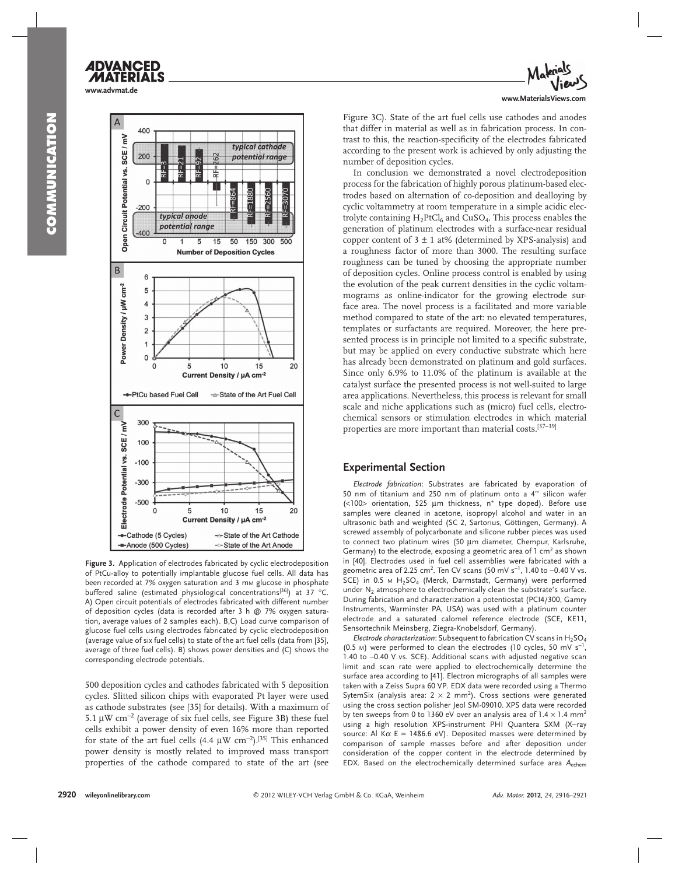

**Figure 3.** Application of electrodes fabricated by cyclic electrodeposition of PtCu-alloy to potentially implantable glucose fuel cells. All data has been recorded at 7% oxygen saturation and 3 mm glucose in phosphate buffered saline (estimated physiological concentrations<sup>[36]</sup>) at 37 °C. A) Open circuit potentials of electrodes fabricated with different number of deposition cycles (data is recorded after 3 h @ 7% oxygen saturation, average values of 2 samples each). B,C) Load curve comparison of glucose fuel cells using electrodes fabricated by cyclic electrodeposition (average value of six fuel cells) to state of the art fuel cells (data from [35], average of three fuel cells). B) shows power densities and (C) shows the corresponding electrode potentials.

500 deposition cycles and cathodes fabricated with 5 deposition cycles. Slitted silicon chips with evaporated Pt layer were used as cathode substrates (see [35] for details). With a maximum of 5.1  $\mu$ W cm<sup>-2</sup> (average of six fuel cells, see Figure 3B) these fuel cells exhibit a power density of even 16% more than reported for state of the art fuel cells  $(4.4 \mu W \text{ cm}^{-2})$ .<sup>[35]</sup> This enhanced power density is mostly related to improved mass transport properties of the cathode compared to state of the art (see



Figure 3C). State of the art fuel cells use cathodes and anodes that differ in material as well as in fabrication process. In contrast to this, the reaction-specificity of the electrodes fabricated according to the present work is achieved by only adjusting the number of deposition cycles.

 In conclusion we demonstrated a novel electrodeposition process for the fabrication of highly porous platinum-based electrodes based on alternation of co-deposition and dealloying by cyclic voltammetry at room temperature in a simple acidic electrolyte containing  $H_2$ PtCl<sub>6</sub> and CuSO<sub>4</sub>. This process enables the generation of platinum electrodes with a surface-near residual copper content of  $3 \pm 1$  at% (determined by XPS-analysis) and a roughness factor of more than 3000. The resulting surface roughness can be tuned by choosing the appropriate number of deposition cycles. Online process control is enabled by using the evolution of the peak current densities in the cyclic voltammograms as online-indicator for the growing electrode surface area. The novel process is a facilitated and more variable method compared to state of the art: no elevated temperatures, templates or surfactants are required. Moreover, the here presented process is in principle not limited to a specific substrate, but may be applied on every conductive substrate which here has already been demonstrated on platinum and gold surfaces. Since only 6.9% to 11.0% of the platinum is available at the catalyst surface the presented process is not well-suited to large area applications. Nevertheless, this process is relevant for small scale and niche applications such as (micro) fuel cells, electrochemical sensors or stimulation electrodes in which material properties are more important than material costs.<sup>[37-39]</sup>

## **Experimental Section**

*Electrode fabrication* : Substrates are fabricated by evaporation of 50 nm of titanium and 250 nm of platinum onto a 4'' silicon wafer ( $<$ 100> orientation, 525  $\mu$ m thickness, n<sup>+</sup> type doped). Before use samples were cleaned in acetone, isopropyl alcohol and water in an ultrasonic bath and weighted (SC 2, Sartorius, Göttingen, Germany). A screwed assembly of polycarbonate and silicone rubber pieces was used to connect two platinum wires (50 μm diameter, Chempur, Karlsruhe, Germany) to the electrode, exposing a geometric area of  $1 \text{ cm}^2$  as shown in [40]. Electrodes used in fuel cell assemblies were fabricated with a geometric area of 2.25 cm<sup>2</sup>. Ten CV scans (50 mV s<sup>-1</sup>, 1.40 to –0.40 V vs. SCE) in 0.5 M  $H_2SO_4$  (Merck, Darmstadt, Germany) were performed under  $N_2$  atmosphere to electrochemically clean the substrate's surface. During fabrication and characterization a potentiostat (PCI4/300, Gamry Instruments, Warminster PA, USA) was used with a platinum counter electrode and a saturated calomel reference electrode (SCE, KE11, Sensortechnik Meinsberg, Ziegra-Knobelsdorf, Germany).

*Electrode characterization*: Subsequent to fabrication CV scans in  $H_2SO_4$ (0.5 M) were performed to clean the electrodes (10 cycles, 50 mV  $s^{-1}$ , 1.40 to −0.40 V vs. SCE). Additional scans with adjusted negative scan limit and scan rate were applied to electrochemically determine the surface area according to [41]. Electron micrographs of all samples were taken with a Zeiss Supra 60 VP. EDX data were recorded using a Thermo SytemSix (analysis area:  $2 \times 2$  mm<sup>2</sup>). Cross sections were generated using the cross section polisher Jeol SM-09010. XPS data were recorded by ten sweeps from 0 to 1360 eV over an analysis area of  $1.4 \times 1.4$  mm<sup>2</sup> using a high resolution XPS-instrument PHI Quantera SXM (X-ray source: Al K $\alpha$  E = 1486.6 eV). Deposited masses were determined by comparison of sample masses before and after deposition under consideration of the copper content in the electrode determined by EDX. Based on the electrochemically determined surface area *A*echem

**www.advmat.de**

**ADVANCED**